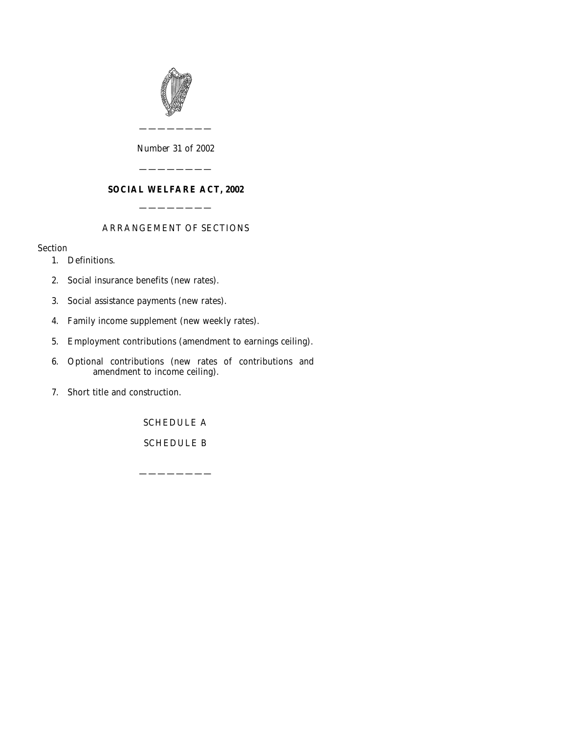

#### *Number* 31 *of* 2002

————————

### **SOCIAL WELFARE ACT, 2002**

————————

————————

#### ARRANGEMENT OF SECTIONS

#### Section

- [1. Definitions.](#page-2-0)
- [2. Social insurance benefits \(new rates\).](#page-2-0)
- [3. Social assistance payments \(new rates\).](#page-3-0)
- [4. Family income supplement \(new weekly rates\).](#page-3-0)
- [5. Employment contributions \(amendment to earnings ceiling\).](#page-4-0)
- [6. Optional contributions \(new rates of contributions and](#page-4-0) [amendment to income ceiling\).](#page-4-0)
- [7. Short title and construction.](#page-4-0)

[SCHEDULE A](#page-5-0)

[SCHEDULE B](#page-7-0)

————————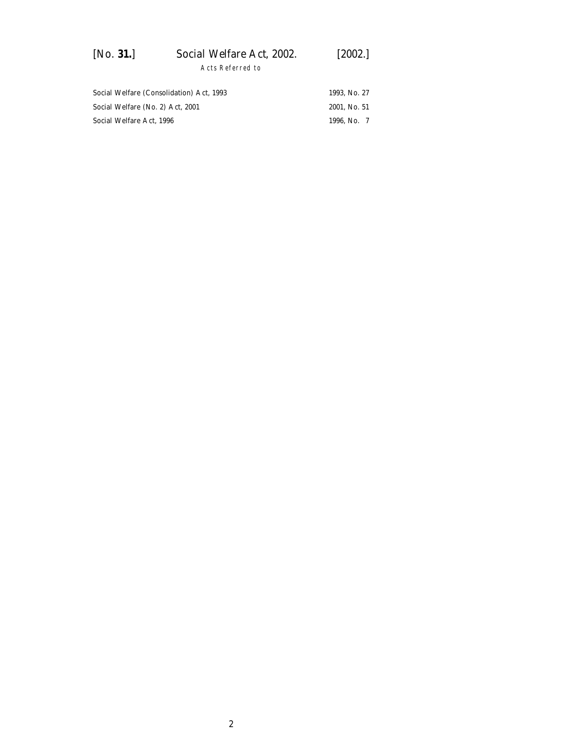| [No. 31.] | Social Welfare Act, 2002. | $[2002.]$ |  |
|-----------|---------------------------|-----------|--|
|           | Acts Referred to          |           |  |

| Social Welfare (Consolidation) Act. 1993 | 1993. No. 27 |
|------------------------------------------|--------------|
| Social Welfare (No. 2) Act. 2001         | 2001. No. 51 |
| Social Welfare Act. 1996                 | 1996. No. 7  |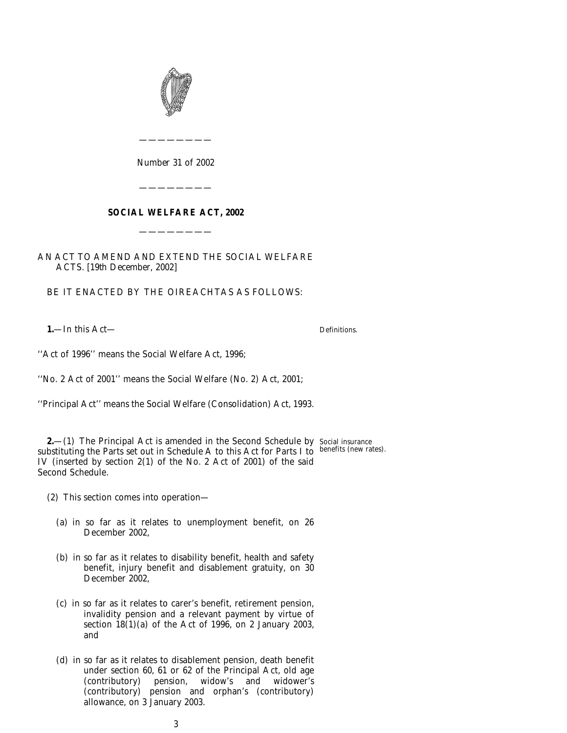<span id="page-2-0"></span>

*Number* 31 *of* 2002

————————

#### **SOCIAL WELFARE ACT, 2002**

————————

————————

AN ACT TO AMEND AND EXTEND THE SOCIAL WELFARE ACTS. [19*th December*, 2002]

BE IT ENACTED BY THE OIREACHTAS AS FOLLOWS:

**1.**—In this Act—

Definitions.

''Act of 1996'' means the Social Welfare Act, 1996;

''No. 2 Act of 2001'' means the Social Welfare (No. 2) Act, 2001;

''Principal Act'' means the Social Welfare (Consolidation) Act, 1993.

**2.**—(1) The Principal Act is amended in the Second Schedule by Social insurance substituting the Parts set out in *Schedule A* to this Act for Parts I to benefits (new rates).IV (inserted by section 2(1) of the No. 2 Act of 2001) of the said Second Schedule.

(2) This section comes into operation—

- (*a*) in so far as it relates to unemployment benefit, on 26 December 2002,
- (*b*) in so far as it relates to disability benefit, health and safety benefit, injury benefit and disablement gratuity, on 30 December 2002,
- (*c*) in so far as it relates to carer's benefit, retirement pension, invalidity pension and a relevant payment by virtue of section 18(1)(*a*) of the Act of 1996, on 2 January 2003, and
- (*d*) in so far as it relates to disablement pension, death benefit under section 60, 61 or 62 of the Principal Act, old age (contributory) pension, widow's and widower's (contributory) pension and orphan's (contributory) allowance, on 3 January 2003.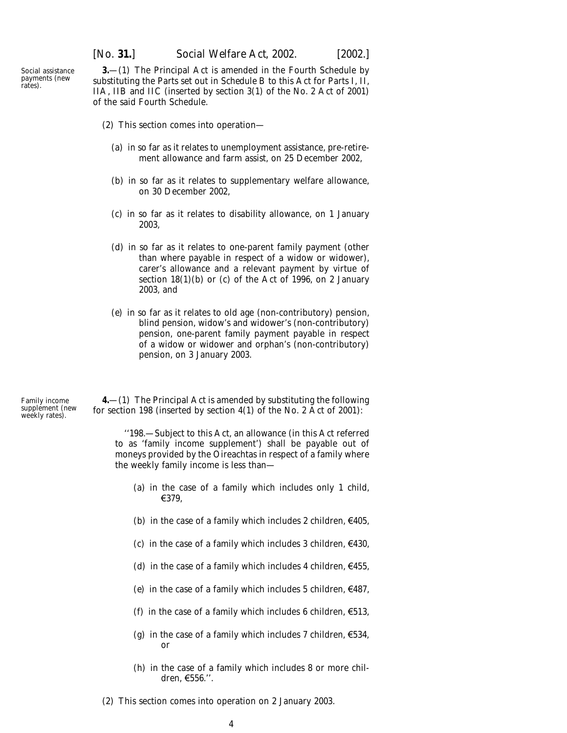[*No.* **31.**] *Social Welfare Act,* 2002. [2002.]

<span id="page-3-0"></span>Social assistance payments (new rates).

**3.**—(1) The Principal Act is amended in the Fourth Schedule by substituting the Parts set out in *Schedule B* to this Act for Parts I, II, IIA, IIB and IIC (inserted by section 3(1) of the No. 2 Act of 2001) of the said Fourth Schedule.

- (2) This section comes into operation—
	- (*a*) in so far as it relates to unemployment assistance, pre-retirement allowance and farm assist, on 25 December 2002,
	- (*b*) in so far as it relates to supplementary welfare allowance, on 30 December 2002,
	- (*c*) in so far as it relates to disability allowance, on 1 January 2003,
	- (*d*) in so far as it relates to one-parent family payment (other than where payable in respect of a widow or widower), carer's allowance and a relevant payment by virtue of section  $18(1)(b)$  or  $(c)$  of the Act of 1996, on 2 January 2003, and
	- (*e*) in so far as it relates to old age (non-contributory) pension, blind pension, widow's and widower's (non-contributory) pension, one-parent family payment payable in respect of a widow or widower and orphan's (non-contributory) pension, on 3 January 2003.

Family income supplement (new weekly rates).

**4.**—(1) The Principal Act is amended by substituting the following for section 198 (inserted by section 4(1) of the No. 2 Act of 2001):

''198.—Subject to this Act, an allowance (in this Act referred to as 'family income supplement') shall be payable out of moneys provided by the Oireachtas in respect of a family where the weekly family income is less than—

- (*a*) in the case of a family which includes only 1 child,  $€379,$
- (*b*) in the case of a family which includes 2 children,  $\epsilon$ 405,
- (*c*) in the case of a family which includes 3 children,  $\epsilon$ 430,
- (*d*) in the case of a family which includes 4 children,  $\epsilon$ 455,
- (*e*) in the case of a family which includes 5 children,  $\epsilon$ 487,
- (*f*) in the case of a family which includes 6 children,  $\epsilon$ 513,
- (*g*) in the case of a family which includes 7 children,  $\epsilon$ 534, or
- (*h*) in the case of a family which includes 8 or more children,  $\epsilon$ 556.''.
- (2) This section comes into operation on 2 January 2003.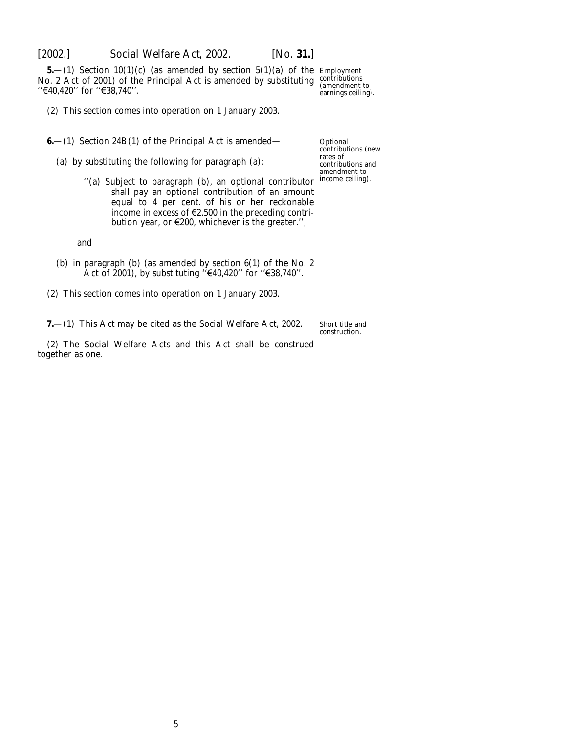<span id="page-4-0"></span>

**5.**—(1) Section 10(1)(*c*) (as amended by section 5(1)(*a*) of the Employment No. 2 Act of 2001) of the Principal Act is amended by substituting contributions (amendment to  $(400)$ )  $\frac{1}{20}$ "€40,420" for "€38,740".

earnings ceiling).

(2) This section comes into operation on 1 January 2003.

**6.**—(1) Section 24B(1) of the Principal Act is amended—

(*a*) by substituting the following for paragraph (*a*):

**Optional** contributions (new rates of contributions and amendment to income ceiling).

''(*a*) Subject to paragraph (*b*), an optional contributor shall pay an optional contribution of an amount equal to 4 per cent. of his or her reckonable income in excess of  $\epsilon$ 2,500 in the preceding contribution year, or  $E200$ , whichever is the greater.",

and

- (*b*) in paragraph (*b*) (as amended by section 6(1) of the No. 2 Act of 2001), by substituting " $\epsilon$ 40,420" for " $\epsilon$ 38,740".
- (2) This section comes into operation on 1 January 2003.

**7.**—(1) This Act may be cited as the Social Welfare Act, 2002.

Short title and construction.

(2) The Social Welfare Acts and this Act shall be construed together as one.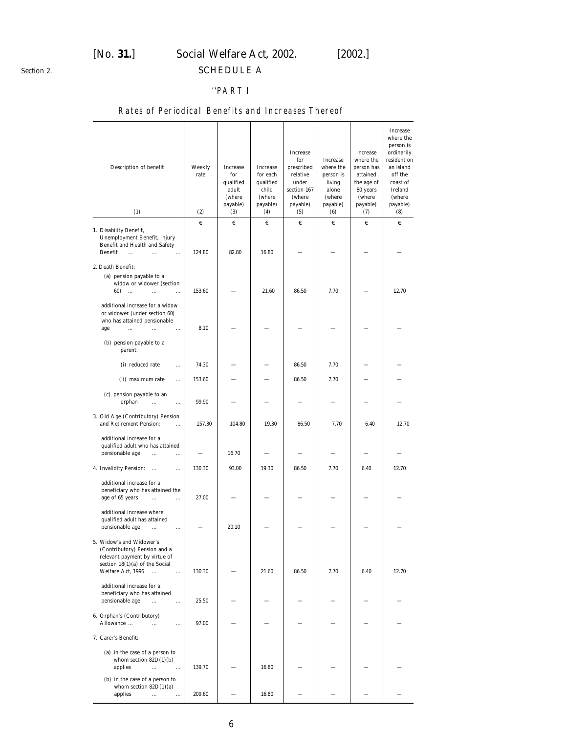## [*No.* **31.**] *Social Welfare Act,* 2002. [2002.] SCHEDULE A

<span id="page-5-0"></span>*Section 2.*

#### ''PART I

### Rates of Periodical Benefits and Increases Thereof

| Description of benefit<br>(1)                                                                                                                                                  | Weekly<br>rate<br>(2) | Increase<br>for<br>qualified<br>adult<br>(where<br>payable)<br>(3) | Increase<br>for each<br>qualified<br>child<br>(where<br>payable)<br>(4) | Increase<br>for<br>prescribed<br>relative<br>under<br>section 167<br>(where<br>payable)<br>(5) | Increase<br>where the<br>person is<br>living<br>alone<br>(where<br>payable)<br>(6) | Increase<br>where the<br>person has<br>attained<br>the age of<br>80 years<br>(where<br>payable)<br>(7) | Increase<br>where the<br>person is<br>ordinarily<br>resident on<br>an island<br>off the<br>coast of<br>Ireland<br>(where<br>payable)<br>(8) |
|--------------------------------------------------------------------------------------------------------------------------------------------------------------------------------|-----------------------|--------------------------------------------------------------------|-------------------------------------------------------------------------|------------------------------------------------------------------------------------------------|------------------------------------------------------------------------------------|--------------------------------------------------------------------------------------------------------|---------------------------------------------------------------------------------------------------------------------------------------------|
|                                                                                                                                                                                | €                     | €                                                                  | €                                                                       | €                                                                                              | €                                                                                  | €                                                                                                      | €                                                                                                                                           |
| 1. Disability Benefit,<br>Unemployment Benefit, Injury<br>Benefit and Health and Safety<br>Benefit<br>$\ddot{\phantom{a}}$<br>$\dddotsc$<br>$\cdots$                           | 124.80                | 82.80                                                              | 16.80                                                                   |                                                                                                |                                                                                    |                                                                                                        |                                                                                                                                             |
| 2. Death Benefit:                                                                                                                                                              |                       |                                                                    |                                                                         |                                                                                                |                                                                                    |                                                                                                        |                                                                                                                                             |
| (a) pension payable to a<br>widow or widower (section<br>60)<br>$\ddots$<br>$\cdots$<br>$\ddotsc$<br>additional increase for a widow                                           | 153.60                |                                                                    | 21.60                                                                   | 86.50                                                                                          | 7.70                                                                               |                                                                                                        | 12.70                                                                                                                                       |
| or widower (under section 60)<br>who has attained pensionable<br>age<br>$\cdots$<br>$\ddotsc$<br>$\cdots$                                                                      | 8.10                  |                                                                    |                                                                         |                                                                                                |                                                                                    |                                                                                                        |                                                                                                                                             |
| $(b)$ pension payable to a<br>parent:                                                                                                                                          |                       |                                                                    |                                                                         |                                                                                                |                                                                                    |                                                                                                        |                                                                                                                                             |
| (i) reduced rate<br>                                                                                                                                                           | 74.30                 |                                                                    |                                                                         | 86.50                                                                                          | 7.70                                                                               |                                                                                                        |                                                                                                                                             |
| (ii) maximum rate<br>                                                                                                                                                          | 153.60                |                                                                    |                                                                         | 86.50                                                                                          | 7.70                                                                               |                                                                                                        |                                                                                                                                             |
| $(c)$ pension payable to an<br>orphan<br>$\cdots$<br>$\ddotsc$                                                                                                                 | 99.90                 |                                                                    |                                                                         |                                                                                                |                                                                                    |                                                                                                        |                                                                                                                                             |
| 3. Old Age (Contributory) Pension<br>and Retirement Pension:<br>$\cdots$                                                                                                       | 157.30                | 104.80                                                             | 19.30                                                                   | 86.50                                                                                          | 7.70                                                                               | 6.40                                                                                                   | 12.70                                                                                                                                       |
| additional increase for a<br>qualified adult who has attained<br>pensionable age<br>$\cdots$<br>.                                                                              |                       | 16.70                                                              |                                                                         |                                                                                                |                                                                                    |                                                                                                        |                                                                                                                                             |
| 4. Invalidity Pension:<br>$\cdots$                                                                                                                                             | 130.30                | 93.00                                                              | 19.30                                                                   | 86.50                                                                                          | 7.70                                                                               | 6.40                                                                                                   | 12.70                                                                                                                                       |
| additional increase for a<br>beneficiary who has attained the<br>age of 65 years<br>$\ldots$<br>$\cdots$                                                                       | 27.00                 |                                                                    |                                                                         |                                                                                                |                                                                                    |                                                                                                        |                                                                                                                                             |
| additional increase where<br>qualified adult has attained<br>pensionable age<br>$\ddotsc$<br>.                                                                                 |                       | 20.10                                                              |                                                                         |                                                                                                |                                                                                    |                                                                                                        |                                                                                                                                             |
| 5. Widow's and Widower's<br>(Contributory) Pension and a<br>relevant payment by virtue of<br>section $18(1)(a)$ of the Social<br>Welfare Act, 1996<br>$\mathbf{r}$<br>$\cdots$ | 130.30                |                                                                    | 21.60                                                                   | 86.50                                                                                          | 7.70                                                                               | 6.40                                                                                                   | 12.70                                                                                                                                       |
| additional increase for a<br>beneficiary who has attained<br>pensionable age<br>$\ddotsc$<br>.                                                                                 | 25.50                 |                                                                    |                                                                         |                                                                                                |                                                                                    |                                                                                                        |                                                                                                                                             |
| 6. Orphan's (Contributory)<br>Allowance<br>$\ddotsc$<br>                                                                                                                       | 97.00                 |                                                                    |                                                                         |                                                                                                |                                                                                    |                                                                                                        |                                                                                                                                             |
| 7. Carer's Benefit:                                                                                                                                                            |                       |                                                                    |                                                                         |                                                                                                |                                                                                    |                                                                                                        |                                                                                                                                             |
| $(a)$ in the case of a person to<br>whom section $82D(1)(b)$<br>applies<br>$\ldots$<br>$\cdots$                                                                                | 139.70                |                                                                    | 16.80                                                                   |                                                                                                |                                                                                    |                                                                                                        |                                                                                                                                             |
| $(b)$ in the case of a person to<br>whom section $82D(1)(a)$<br>applies<br>$\cdots$<br>$\cdots$                                                                                | 209.60                |                                                                    | 16.80                                                                   |                                                                                                |                                                                                    |                                                                                                        |                                                                                                                                             |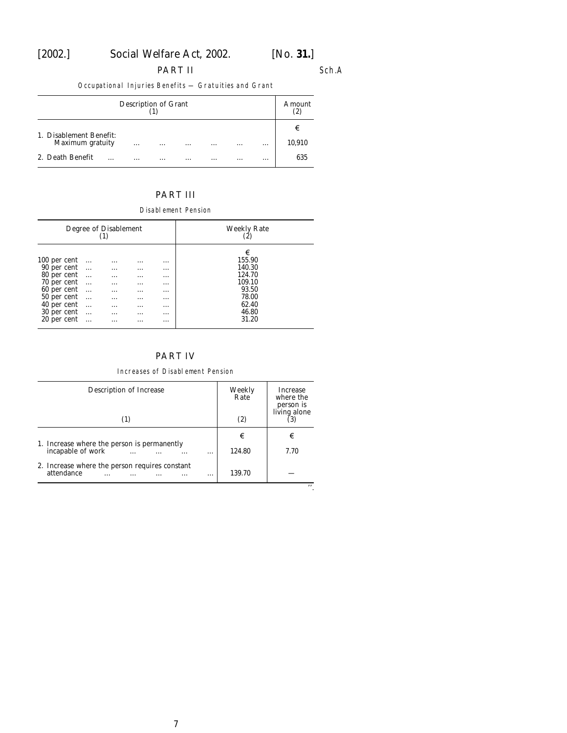## [2002.] *Social Welfare Act,* 2002. [*No.* **31.**]

#### PART II Sch.A

Occupational Injuries Benefits — Gratuities and Grant

| Description of Grant    |          |          |          |          |          | Amount<br>(2) |        |
|-------------------------|----------|----------|----------|----------|----------|---------------|--------|
| 1. Disablement Benefit: |          |          |          |          |          |               | €      |
| Maximum gratuity        | $\cdots$ | $\cdots$ | $\cdots$ | $\cdots$ | $\cdots$ | $\cdots$      | 10,910 |
| 2. Death Benefit<br>.   | $\cdots$ | $\cdots$ | $\cdots$ | $\cdots$ | $\cdots$ | $\cdots$      | 635    |

### PART III

Disablement Pension

| Degree of Disablement<br>(1) |           |          |          |          | <b>Weekly Rate</b><br>(2) |
|------------------------------|-----------|----------|----------|----------|---------------------------|
|                              |           |          |          |          | €                         |
| 100 per cent                 | $\ldots$  | $\cdots$ | .        | $\cdots$ | 155.90                    |
| 90 per cent                  |           | $\cdots$ | $\cdots$ | $\cdots$ | 140.30                    |
| 80 per cent                  | $\cdots$  | $\cdots$ | $\cdots$ | $\cdots$ | 124.70                    |
| 70 per cent                  | $\ldots$  | $\cdots$ | $\cdots$ | $\cdots$ | 109.10                    |
| 60 per cent                  | $\ddotsc$ | $\cdots$ | $\cdots$ | $\cdots$ | 93.50                     |
| 50 per cent                  | $\ldots$  | $\cdots$ | $\cdots$ | $\cdots$ | 78.00                     |
| 40 per cent                  | $\ddotsc$ |          |          |          | 62.40                     |
|                              |           | .        | $\cdots$ | $\cdots$ |                           |
| 30 per cent                  | $\ldots$  | $\cdots$ | $\cdots$ | $\cdots$ | 46.80                     |
| 20 per cent                  | .         | .        | .        | $\cdots$ | 31.20                     |

### PART IV

#### Increases of Disablement Pension

| Description of Increase<br>(1)                                         | Weekly<br>Rate<br>(2) | <b>Increase</b><br>where the<br>person is<br>living alone |
|------------------------------------------------------------------------|-----------------------|-----------------------------------------------------------|
| 1. Increase where the person is permanently                            | €                     | €                                                         |
| incapable of work<br>.                                                 | 124.80                | 7.70                                                      |
| 2. Increase where the person requires constant<br>attendance<br>.<br>. | 139.70                |                                                           |
|                                                                        |                       | , ,                                                       |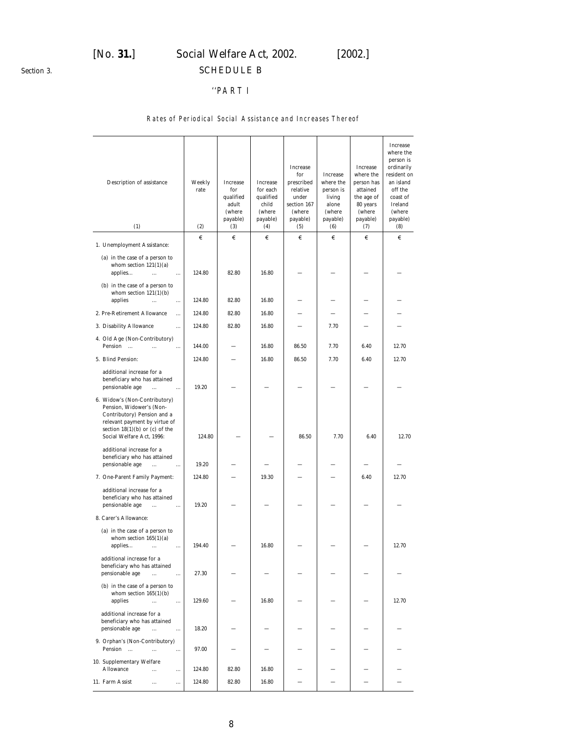<span id="page-7-0"></span>*Section 3.*

# [*No.* **31.**] *Social Welfare Act,* 2002. [2002.] SCHEDULE B

### ''PART I

#### Rates of Periodical Social Assistance and Increases Thereof

| Description of assistance<br>(1)                                                                                                                                                             | Weekly<br>rate<br>(2) | Increase<br>for<br>qualified<br>adult<br>(where<br>payable)<br>(3) | Increase<br>for each<br>qualified<br>child<br>(where<br>payable)<br>(4) | Increase<br>for<br>prescribed<br>relative<br>under<br>section 167<br>(where<br>payable)<br>(5) | Increase<br>where the<br>person is<br>living<br>alone<br>(where<br>payable)<br>(6) | Increase<br>where the<br>person has<br>attained<br>the age of<br>80 years<br>(where<br>payable)<br>(7) | <b>Increase</b><br>where the<br>person is<br>ordinarily<br>resident on<br>an island<br>off the<br>coast of<br>Ireland<br>(where<br>payable)<br>(8) |
|----------------------------------------------------------------------------------------------------------------------------------------------------------------------------------------------|-----------------------|--------------------------------------------------------------------|-------------------------------------------------------------------------|------------------------------------------------------------------------------------------------|------------------------------------------------------------------------------------|--------------------------------------------------------------------------------------------------------|----------------------------------------------------------------------------------------------------------------------------------------------------|
|                                                                                                                                                                                              | €                     | €                                                                  | €                                                                       | €                                                                                              | €                                                                                  | €                                                                                                      | €                                                                                                                                                  |
| 1. Unemployment Assistance:                                                                                                                                                                  |                       |                                                                    |                                                                         |                                                                                                |                                                                                    |                                                                                                        |                                                                                                                                                    |
| $(a)$ in the case of a person to<br>whom section $121(1)(a)$<br>applies<br>$\cdots$<br>$\cdots$                                                                                              | 124.80                | 82.80                                                              | 16.80                                                                   |                                                                                                |                                                                                    |                                                                                                        |                                                                                                                                                    |
| $(b)$ in the case of a person to<br>whom section $121(1)(b)$<br>applies<br>$\cdots$<br>$\cdots$                                                                                              | 124.80                | 82.80                                                              | 16.80                                                                   |                                                                                                |                                                                                    |                                                                                                        |                                                                                                                                                    |
| 2. Pre-Retirement Allowance<br>                                                                                                                                                              | 124.80                | 82.80                                                              | 16.80                                                                   |                                                                                                |                                                                                    |                                                                                                        |                                                                                                                                                    |
| 3. Disability Allowance<br>$\cdots$                                                                                                                                                          | 124.80                | 82.80                                                              | 16.80                                                                   |                                                                                                | 7.70                                                                               |                                                                                                        |                                                                                                                                                    |
| 4. Old Age (Non-Contributory)<br>Pension<br>$\ddotsc$<br>$\ldots$                                                                                                                            | 144.00                |                                                                    | 16.80                                                                   | 86.50                                                                                          | 7.70                                                                               | 6.40                                                                                                   | 12.70                                                                                                                                              |
| 5. Blind Pension:                                                                                                                                                                            | 124.80                |                                                                    | 16.80                                                                   | 86.50                                                                                          | 7.70                                                                               | 6.40                                                                                                   | 12.70                                                                                                                                              |
| additional increase for a<br>beneficiary who has attained<br>pensionable age<br>$\ddotsc$<br>$\cdots$                                                                                        | 19.20                 |                                                                    |                                                                         |                                                                                                |                                                                                    |                                                                                                        |                                                                                                                                                    |
| 6. Widow's (Non-Contributory)<br>Pension, Widower's (Non-<br>Contributory) Pension and a<br>relevant payment by virtue of<br>section $18(1)(b)$ or $(c)$ of the<br>Social Welfare Act, 1996: | 124.80                |                                                                    |                                                                         | 86.50                                                                                          | 7.70                                                                               | 6.40                                                                                                   | 12.70                                                                                                                                              |
| additional increase for a<br>beneficiary who has attained<br>pensionable age<br>$\cdots$<br>$\ldots$                                                                                         | 19.20                 |                                                                    |                                                                         |                                                                                                |                                                                                    |                                                                                                        |                                                                                                                                                    |
| 7. One-Parent Family Payment:                                                                                                                                                                | 124.80                |                                                                    | 19.30                                                                   |                                                                                                |                                                                                    | 6.40                                                                                                   | 12.70                                                                                                                                              |
| additional increase for a<br>beneficiary who has attained<br>pensionable age<br><br>$\cdots$                                                                                                 | 19.20                 |                                                                    |                                                                         |                                                                                                |                                                                                    |                                                                                                        |                                                                                                                                                    |
| 8. Carer's Allowance:                                                                                                                                                                        |                       |                                                                    |                                                                         |                                                                                                |                                                                                    |                                                                                                        |                                                                                                                                                    |
| (a) in the case of a person to<br>whom section $165(1)(a)$<br>applies<br>$\cdots$<br>$\cdots$                                                                                                | 194.40                |                                                                    | 16.80                                                                   |                                                                                                |                                                                                    |                                                                                                        | 12.70                                                                                                                                              |
| additional increase for a<br>beneficiary who has attained<br>pensionable age<br>$\ddotsc$<br>$\cdots$                                                                                        | 27.30                 |                                                                    |                                                                         |                                                                                                |                                                                                    |                                                                                                        |                                                                                                                                                    |
| $(b)$ in the case of a person to<br>whom section $165(1)(b)$<br>applies<br>$\cdots$<br>$\ldots$                                                                                              | 129.60                |                                                                    | 16.80                                                                   |                                                                                                |                                                                                    |                                                                                                        | 12.70                                                                                                                                              |
| additional increase for a<br>beneficiary who has attained<br>pensionable age<br>$\ddotsc$<br>$\cdots$                                                                                        | 18.20                 |                                                                    |                                                                         |                                                                                                |                                                                                    |                                                                                                        |                                                                                                                                                    |
| 9. Orphan's (Non-Contributory)<br>Pension<br>$\dddotsc$<br>$\cdots$<br>$\ldots$                                                                                                              | 97.00                 |                                                                    |                                                                         |                                                                                                |                                                                                    |                                                                                                        |                                                                                                                                                    |
| 10. Supplementary Welfare<br><b>Allowance</b><br>$\ddotsc$<br>$\cdots$                                                                                                                       | 124.80                | 82.80                                                              | 16.80                                                                   |                                                                                                |                                                                                    |                                                                                                        |                                                                                                                                                    |
| 11. Farm Assist<br>$\cdots$<br>$\ldots$                                                                                                                                                      | 124.80                | 82.80                                                              | 16.80                                                                   |                                                                                                |                                                                                    |                                                                                                        |                                                                                                                                                    |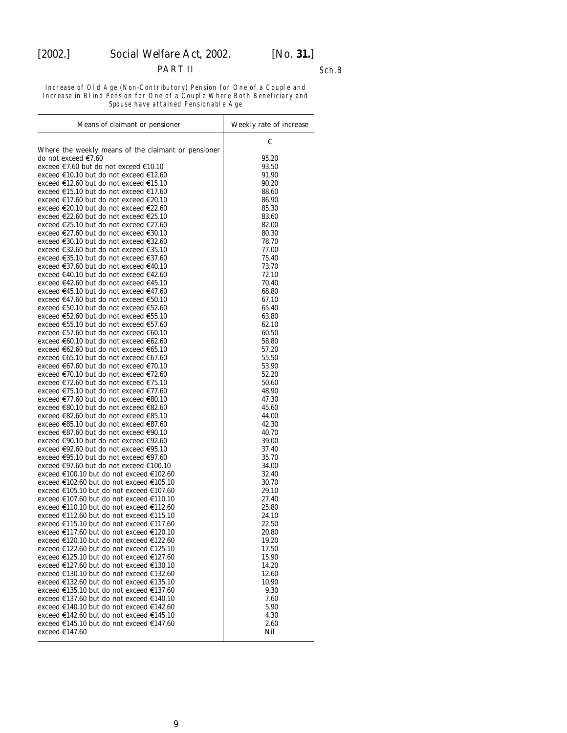### PART II Sch.B

Increase of Old Age (Non-Contributory) Pension for One of a Couple and Increase in Blind Pension for One of a Couple Where Both Beneficiary and Spouse have attained Pensionable Age

| Means of claimant or pensioner                                                       | Weekly rate of increase |
|--------------------------------------------------------------------------------------|-------------------------|
|                                                                                      | €                       |
| Where the weekly means of the claimant or pensioner                                  |                         |
| do not exceed €7.60                                                                  | 95.20                   |
| exceed €7.60 but do not exceed €10.10                                                | 93.50                   |
| exceed €10.10 but do not exceed €12.60<br>exceed €12.60 but do not exceed €15.10     | 91.90<br>90.20          |
| exceed €15.10 but do not exceed €17.60                                               | 88.60                   |
| exceed €17.60 but do not exceed €20.10                                               | 86.90                   |
| exceed €20.10 but do not exceed €22.60                                               | 85.30                   |
| exceed €22.60 but do not exceed €25.10                                               | 83.60                   |
| exceed €25.10 but do not exceed €27.60                                               | 82.00                   |
| exceed €27.60 but do not exceed €30.10                                               | 80.30                   |
| exceed €30.10 but do not exceed €32.60                                               | 78.70                   |
| exceed €32.60 but do not exceed €35.10                                               | 77.00                   |
| exceed €35.10 but do not exceed €37.60                                               | 75.40                   |
| exceed €37.60 but do not exceed €40.10<br>exceed €40.10 but do not exceed €42.60     | 73.70<br>72.10          |
| exceed €42.60 but do not exceed €45.10                                               | 70.40                   |
| exceed €45.10 but do not exceed €47.60                                               | 68.80                   |
| exceed €47.60 but do not exceed €50.10                                               | 67.10                   |
| exceed €50.10 but do not exceed €52.60                                               | 65.40                   |
| exceed €52.60 but do not exceed €55.10                                               | 63.80                   |
| exceed €55.10 but do not exceed €57.60                                               | 62.10                   |
| exceed €57.60 but do not exceed €60.10                                               | 60.50                   |
| exceed €60.10 but do not exceed €62.60                                               | 58.80                   |
| exceed €62.60 but do not exceed €65.10                                               | 57.20                   |
| exceed €65.10 but do not exceed €67.60                                               | 55.50                   |
| exceed €67.60 but do not exceed €70.10                                               | 53.90                   |
| exceed €70.10 but do not exceed €72.60<br>exceed €72.60 but do not exceed €75.10     | 52.20                   |
| exceed €75.10 but do not exceed €77.60                                               | 50.60<br>48.90          |
| exceed €77.60 but do not exceed €80.10                                               | 47.30                   |
| exceed €80.10 but do not exceed €82.60                                               | 45.60                   |
| exceed €82.60 but do not exceed €85.10                                               | 44.00                   |
| exceed €85.10 but do not exceed €87.60                                               | 42.30                   |
| exceed €87.60 but do not exceed €90.10                                               | 40.70                   |
| exceed €90.10 but do not exceed €92.60                                               | 39.00                   |
| exceed €92.60 but do not exceed €95.10                                               | 37.40                   |
| exceed €95.10 but do not exceed €97.60                                               | 35.70                   |
| exceed €97.60 but do not exceed €100.10                                              | 34.00                   |
| exceed €100.10 but do not exceed €102.60<br>exceed €102.60 but do not exceed €105.10 | 32.40<br>30.70          |
| exceed €105.10 but do not exceed €107.60                                             | 29.10                   |
| exceed €107.60 but do not exceed €110.10                                             | 27.40                   |
| exceed €110.10 but do not exceed €112.60                                             | 25.80                   |
| exceed €112.60 but do not exceed €115.10                                             | 24.10                   |
| exceed €115.10 but do not exceed €117.60                                             | 22.50                   |
| exceed €117.60 but do not exceed €120.10                                             | 20.80                   |
| exceed €120.10 but do not exceed €122.60                                             | 19.20                   |
| exceed €122.60 but do not exceed €125.10                                             | 17.50                   |
| exceed €125.10 but do not exceed €127.60                                             | 15.90                   |
| exceed €127.60 but do not exceed €130.10                                             | 14.20                   |
| exceed €130.10 but do not exceed €132.60<br>exceed €132.60 but do not exceed €135.10 | 12.60<br>10.90          |
| exceed €135.10 but do not exceed €137.60                                             | 9.30                    |
| exceed €137.60 but do not exceed €140.10                                             | 7.60                    |
| exceed €140.10 but do not exceed €142.60                                             | 5.90                    |
| exceed €142.60 but do not exceed €145.10                                             | 4.30                    |
| exceed €145.10 but do not exceed €147.60                                             | 2.60                    |
| exceed €147.60                                                                       | Nil                     |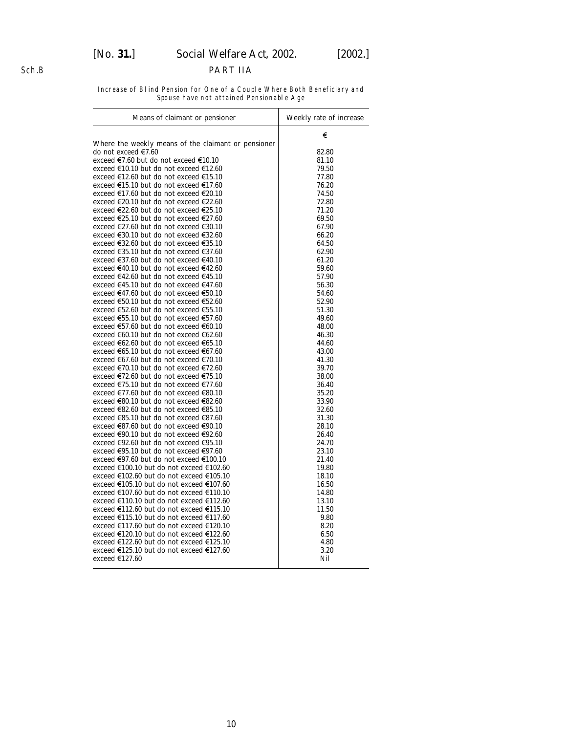# [*No.* **31.**] *Social Welfare Act,* 2002. [2002.]

#### PART IIA

Increase of Blind Pension for One of a Couple Where Both Beneficiary and Spouse have not attained Pensionable Age

| Means of claimant or pensioner                                                   | Weekly rate of increase |
|----------------------------------------------------------------------------------|-------------------------|
|                                                                                  | €                       |
| Where the weekly means of the claimant or pensioner                              |                         |
| do not exceed €7.60                                                              | 82.80                   |
| exceed €7.60 but do not exceed €10.10                                            | 81.10                   |
| exceed €10.10 but do not exceed €12.60                                           | 79.50                   |
| exceed €12.60 but do not exceed €15.10                                           | 77.80                   |
| exceed €15.10 but do not exceed €17.60                                           | 76.20                   |
| exceed €17.60 but do not exceed €20.10                                           | 74.50                   |
| exceed €20.10 but do not exceed €22.60                                           | 72.80                   |
| exceed €22.60 but do not exceed €25.10                                           | 71.20                   |
| exceed €25.10 but do not exceed €27.60                                           | 69.50                   |
| exceed €27.60 but do not exceed €30.10                                           | 67.90                   |
| exceed €30.10 but do not exceed €32.60                                           | 66.20                   |
| exceed €32.60 but do not exceed €35.10                                           | 64.50                   |
| exceed €35.10 but do not exceed €37.60                                           | 62.90                   |
| exceed €37.60 but do not exceed €40.10                                           | 61.20                   |
| exceed €40.10 but do not exceed €42.60                                           | 59.60                   |
| exceed €42.60 but do not exceed €45.10                                           | 57.90                   |
| exceed €45.10 but do not exceed €47.60                                           | 56.30                   |
| exceed €47.60 but do not exceed €50.10                                           | 54.60                   |
| exceed €50.10 but do not exceed €52.60                                           | 52.90                   |
| exceed €52.60 but do not exceed €55.10                                           | 51.30                   |
| exceed €55.10 but do not exceed €57.60                                           | 49.60                   |
| exceed €57.60 but do not exceed €60.10                                           | 48.00                   |
| exceed €60.10 but do not exceed €62.60                                           | 46.30                   |
| exceed €62.60 but do not exceed €65.10                                           | 44.60                   |
| exceed €65.10 but do not exceed €67.60<br>exceed €67.60 but do not exceed €70.10 | 43.00<br>41.30          |
| exceed €70.10 but do not exceed €72.60                                           | 39.70                   |
| exceed €72.60 but do not exceed €75.10                                           | 38.00                   |
| exceed €75.10 but do not exceed €77.60                                           | 36.40                   |
| exceed €77.60 but do not exceed €80.10                                           | 35.20                   |
| exceed €80.10 but do not exceed €82.60                                           | 33.90                   |
| exceed €82.60 but do not exceed €85.10                                           | 32.60                   |
| exceed €85.10 but do not exceed €87.60                                           | 31.30                   |
| exceed €87.60 but do not exceed €90.10                                           | 28.10                   |
| exceed €90.10 but do not exceed €92.60                                           | 26.40                   |
| exceed €92.60 but do not exceed €95.10                                           | 24.70                   |
| exceed €95.10 but do not exceed €97.60                                           | 23.10                   |
| exceed €97.60 but do not exceed €100.10                                          | 21.40                   |
| exceed €100.10 but do not exceed €102.60                                         | 19.80                   |
| exceed €102.60 but do not exceed €105.10                                         | 18.10                   |
| exceed €105.10 but do not exceed €107.60                                         | 16.50                   |
| exceed €107.60 but do not exceed €110.10                                         | 14.80                   |
| exceed €110.10 but do not exceed €112.60                                         | 13.10                   |
| exceed €112.60 but do not exceed €115.10                                         | 11.50                   |
| exceed €115.10 but do not exceed €117.60                                         | 9.80                    |
| exceed €117.60 but do not exceed €120.10                                         | 8.20                    |
| exceed €120.10 but do not exceed €122.60                                         | 6.50                    |
| exceed €122.60 but do not exceed €125.10                                         | 4.80                    |
| exceed €125.10 but do not exceed €127.60                                         | 3.20                    |
| exceed €127.60                                                                   | Nil                     |

10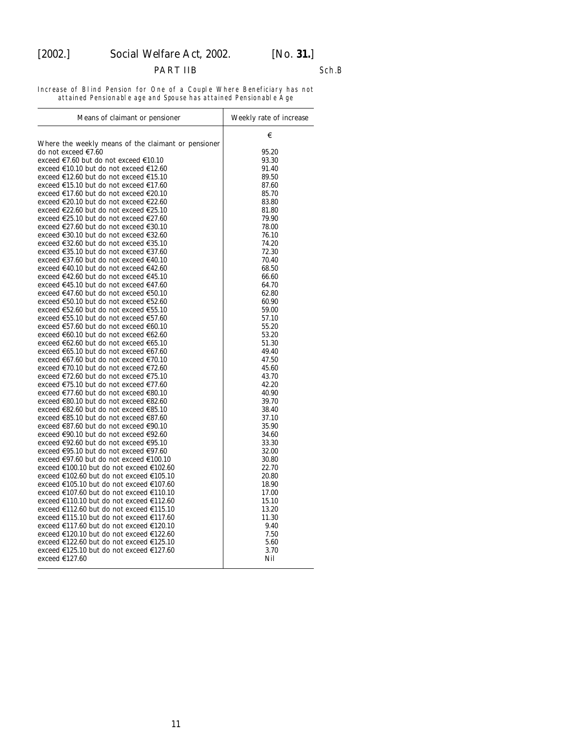#### PART IIB Sch.B

Increase of Blind Pension for One of a Couple Where Beneficiary has not attained Pensionable age and Spouse has attained Pensionable Age

| Means of claimant or pensioner                                                   | Weekly rate of increase |
|----------------------------------------------------------------------------------|-------------------------|
|                                                                                  | €                       |
| Where the weekly means of the claimant or pensioner                              |                         |
| do not exceed €7.60<br>exceed €7.60 but do not exceed €10.10                     | 95.20                   |
|                                                                                  | 93.30                   |
| exceed €10.10 but do not exceed €12.60<br>exceed €12.60 but do not exceed €15.10 | 91.40<br>89.50          |
| exceed €15.10 but do not exceed €17.60                                           | 87.60                   |
| exceed €17.60 but do not exceed €20.10                                           | 85.70                   |
| exceed €20.10 but do not exceed €22.60                                           | 83.80                   |
| exceed €22.60 but do not exceed €25.10                                           | 81.80                   |
| exceed €25.10 but do not exceed €27.60                                           | 79.90                   |
| exceed €27.60 but do not exceed €30.10                                           | 78.00                   |
| exceed €30.10 but do not exceed €32.60                                           | 76.10                   |
| exceed €32.60 but do not exceed €35.10                                           | 74.20                   |
| exceed €35.10 but do not exceed €37.60                                           | 72.30                   |
| exceed €37.60 but do not exceed €40.10                                           | 70.40                   |
| exceed €40.10 but do not exceed €42.60                                           | 68.50                   |
| exceed €42.60 but do not exceed €45.10                                           | 66.60                   |
| exceed €45.10 but do not exceed €47.60                                           | 64.70                   |
| exceed €47.60 but do not exceed €50.10                                           | 62.80                   |
| exceed €50.10 but do not exceed €52.60                                           | 60.90                   |
| exceed €52.60 but do not exceed €55.10                                           | 59.00                   |
| exceed €55.10 but do not exceed €57.60                                           | 57.10                   |
| exceed €57.60 but do not exceed €60.10                                           | 55.20                   |
| exceed €60.10 but do not exceed €62.60                                           | 53.20                   |
| exceed €62.60 but do not exceed €65.10                                           | 51.30                   |
| exceed €65.10 but do not exceed €67.60                                           | 49.40                   |
| exceed €67.60 but do not exceed €70.10                                           | 47.50                   |
| exceed €70.10 but do not exceed €72.60                                           | 45.60                   |
| exceed €72.60 but do not exceed €75.10                                           | 43.70                   |
| exceed €75.10 but do not exceed €77.60                                           | 42.20                   |
| exceed €77.60 but do not exceed €80.10                                           | 40.90                   |
| exceed €80.10 but do not exceed €82.60                                           | 39.70                   |
| exceed €82.60 but do not exceed €85.10                                           | 38.40                   |
| exceed €85.10 but do not exceed €87.60                                           | 37.10                   |
| exceed €87.60 but do not exceed €90.10                                           | 35.90                   |
| exceed €90.10 but do not exceed €92.60                                           | 34.60                   |
| exceed €92.60 but do not exceed €95.10                                           | 33.30                   |
| exceed €95.10 but do not exceed €97.60                                           | 32.00                   |
| exceed €97.60 but do not exceed €100.10                                          | 30.80                   |
| exceed €100.10 but do not exceed €102.60                                         | 22.70                   |
| exceed €102.60 but do not exceed €105.10                                         | 20.80                   |
| exceed €105.10 but do not exceed €107.60                                         | 18.90                   |
| exceed €107.60 but do not exceed €110.10                                         | 17.00                   |
| exceed €110.10 but do not exceed €112.60                                         | 15.10                   |
| exceed €112.60 but do not exceed €115.10                                         | 13.20                   |
| exceed €115.10 but do not exceed €117.60                                         | 11.30                   |
| exceed €117.60 but do not exceed €120.10                                         | 9.40                    |
| exceed €120.10 but do not exceed €122.60                                         | 7.50                    |
| exceed €122.60 but do not exceed €125.10                                         | 5.60                    |
| exceed €125.10 but do not exceed €127.60                                         | 3.70                    |
| exceed $€127.60$                                                                 | Nil                     |